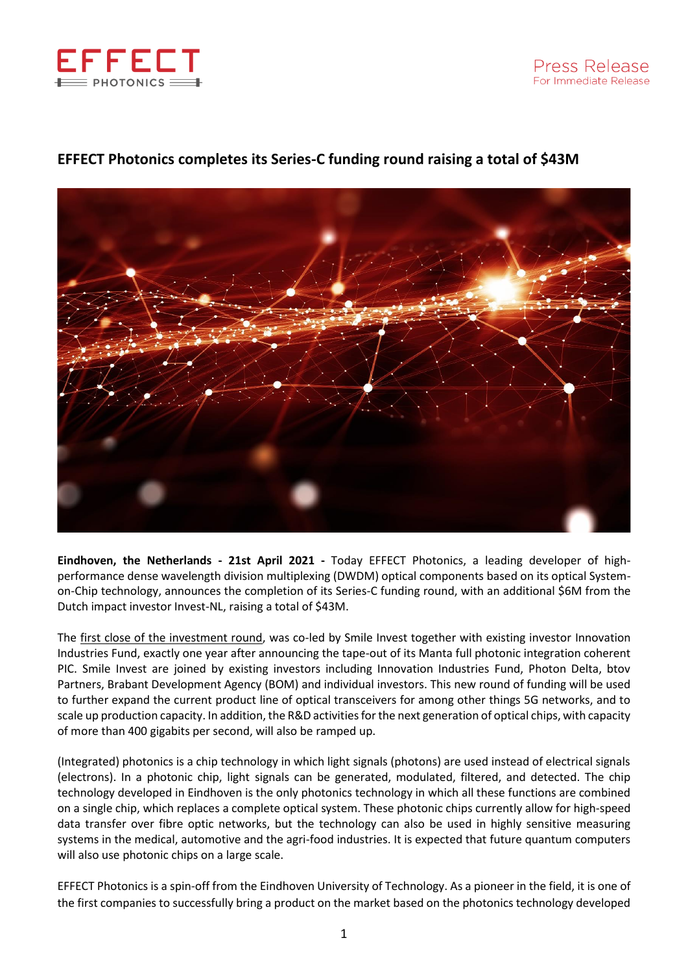



## **EFFECT Photonics completes its Series-C funding round raising a total of \$43M**

**Eindhoven, the Netherlands - 21st April 2021 -** Today EFFECT Photonics, a leading developer of highperformance dense wavelength division multiplexing (DWDM) optical components based on its optical Systemon-Chip technology, announces the completion of its Series-C funding round, with an additional \$6M from the Dutch impact investor Invest-NL, raising a total of \$43M.

The [first close of the investment round,](https://effectphotonics.com/effect-photonics-raises-37m-to-develop-single-chip-coherent-optics-and-scale-production/) was co-led by Smile Invest together with existing investor Innovation Industries Fund, exactly one year after announcing the tape-out of its Manta full photonic integration coherent PIC. Smile Invest are joined by existing investors including Innovation Industries Fund, Photon Delta, btov Partners, Brabant Development Agency (BOM) and individual investors. This new round of funding will be used to further expand the current product line of optical transceivers for among other things 5G networks, and to scale up production capacity. In addition, the R&D activities for the next generation of optical chips, with capacity of more than 400 gigabits per second, will also be ramped up.

(Integrated) photonics is a chip technology in which light signals (photons) are used instead of electrical signals (electrons). In a photonic chip, light signals can be generated, modulated, filtered, and detected. The chip technology developed in Eindhoven is the only photonics technology in which all these functions are combined on a single chip, which replaces a complete optical system. These photonic chips currently allow for high-speed data transfer over fibre optic networks, but the technology can also be used in highly sensitive measuring systems in the medical, automotive and the agri-food industries. It is expected that future quantum computers will also use photonic chips on a large scale.

EFFECT Photonics is a spin-off from the Eindhoven University of Technology. As a pioneer in the field, it is one of the first companies to successfully bring a product on the market based on the photonics technology developed